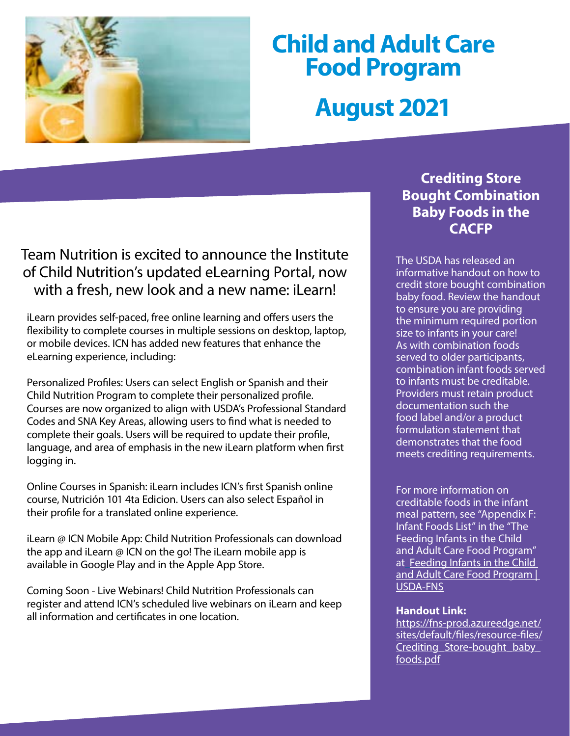

# **Child and Adult Care Food Program August 2021**

## Team Nutrition is excited to announce the Institute of Child Nutrition's updated eLearning Portal, now with a fresh, new look and a new name: iLearn!

iLearn provides self-paced, free online learning and offers users the flexibility to complete courses in multiple sessions on desktop, laptop, or mobile devices. ICN has added new features that enhance the eLearning experience, including:

Personalized Profiles: Users can select English or Spanish and their Child Nutrition Program to complete their personalized profile. Courses are now organized to align with USDA's Professional Standard Codes and SNA Key Areas, allowing users to find what is needed to complete their goals. Users will be required to update their profile, language, and area of emphasis in the new iLearn platform when first logging in.

Online Courses in Spanish: iLearn includes ICN's first Spanish online course, Nutrición 101 4ta Edicion. Users can also select Español in their profile for a translated online experience.

iLearn @ ICN Mobile App: Child Nutrition Professionals can download the app and iLearn @ ICN on the go! The iLearn mobile app is available in Google Play and in the Apple App Store.

Coming Soon - Live Webinars! Child Nutrition Professionals can register and attend ICN's scheduled live webinars on iLearn and keep all information and certificates in one location.

## **Crediting Store Bought Combination Baby Foods in the CACFP**

The USDA has released an informative handout on how to credit store bought combination baby food. Review the handout to ensure you are providing the minimum required portion size to infants in your care! As with combination foods served to older participants, combination infant foods served to infants must be creditable. Providers must retain product documentation such the food label and/or a product formulation statement that demonstrates that the food meets crediting requirements.

For more information on creditable foods in the infant meal pattern, see "Appendix F: Infant Foods List" in the "The Feeding Infants in the Child and Adult Care Food Program" a[t Feeding Infants in the Child](https://www.fns.usda.gov/tn/feeding-infants-child-and-adult-care-food-program)  [and Adult Care Food Program |](https://www.fns.usda.gov/tn/feeding-infants-child-and-adult-care-food-program)  [USDA-FNS](https://www.fns.usda.gov/tn/feeding-infants-child-and-adult-care-food-program)

#### **Handout Link:**

[https://fns-prod.azureedge.net/](https://fns-prod.azureedge.net/sites/default/files/resource-files/Crediting_Store-bought_baby_foods.pdf) [sites/default/files/resource-files/](https://fns-prod.azureedge.net/sites/default/files/resource-files/Crediting_Store-bought_baby_foods.pdf) [Crediting\\_Store-bought\\_baby\\_](https://fns-prod.azureedge.net/sites/default/files/resource-files/Crediting_Store-bought_baby_foods.pdf) [foods.pdf](https://fns-prod.azureedge.net/sites/default/files/resource-files/Crediting_Store-bought_baby_foods.pdf)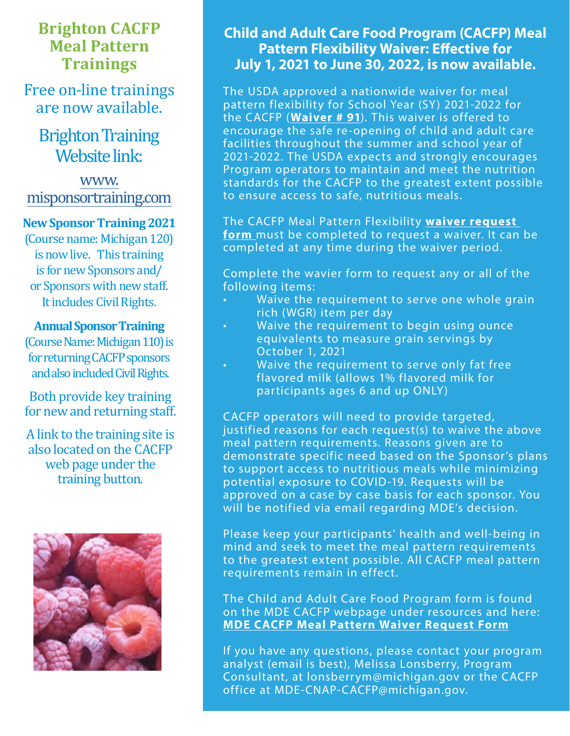## **Brighton CACFP Meal Pattern Trainings**

Free on-line trainings are now available.

## **Brighton Training** Website link:

[www.](http://www.misponsortraining.com) [misponsortraining.com](http://www.misponsortraining.com)

#### **New Sponsor Training 2021**

(Course name: Michigan 120) is now live. This training is for new Sponsors and/ or Sponsors with new staff. It includes Civil Rights.

#### **Annual Sponsor Training**

(Course Name: Michigan 110) is for returning CACFP sponsors and also included Civil Rights.

Both provide key training for new and returning staff.

A link to the training site is also located on the CACFP web page under the training button.



## **Child and Adult Care Food Program (CACFP) Meal Pattern Flexibility Waiver: Effective for July 1, 2021 to June 30, 2022, is now available.**

The USDA approved a nationwide waiver for meal pattern flexibility for School Year (SY) 2021-2022 for the CACFP (**[Waiver # 91](https://gcc02.safelinks.protection.outlook.com/?url=https%3A%2F%2Ffns-prod.azureedge.net%2Fsites%2Fdefault%2Ffiles%2Fresource-files%2FCOVID19NationwideWaiver91os.pdf&data=04%7C01%7CGalbaviT%40michigan.gov%7Caa13ce630ed34df3e71208d9371006f5%7Cd5fb7087377742ad966a892ef47225d1%7C0%7C0%7C637601364239559241%7CUnknown%7CTWFpbGZsb3d8eyJWIjoiMC4wLjAwMDAiLCJQIjoiV2luMzIiLCJBTiI6Ik1haWwiLCJXVCI6Mn0%3D%7C1000&sdata=blm6o%2B%2BPV8zziUfcATDKWACC8VpPqis3qxmbJANcLU8%3D&reserved=0)**). This waiver is offered to encourage the safe re-opening of child and adult care facilities throughout the summer and school year of 2021-2022. The USDA expects and strongly encourages Program operators to maintain and meet the nutrition standards for the CACFP to the greatest extent possible to ensure access to safe, nutritious meals.

The CACFP Meal Pattern Flexibility **[waiver request](https://gcc02.safelinks.protection.outlook.com/?url=https%3A%2F%2Fforms.office.com%2FPages%2FResponsePage.aspx%3Fid%3Dh3D71Xc3rUKWaoku9HIl0adBQgBF3EpMrfJJyRNd7ZFURUdTSUo1Q0dFNUw1M1VNTFVLWUZKSjc5SC4u&data=04%7C01%7CGalbaviT%40michigan.gov%7Caa13ce630ed34df3e71208d9371006f5%7Cd5fb7087377742ad966a892ef47225d1%7C0%7C0%7C637601364239559241%7CUnknown%7CTWFpbGZsb3d8eyJWIjoiMC4wLjAwMDAiLCJQIjoiV2luMzIiLCJBTiI6Ik1haWwiLCJXVCI6Mn0%3D%7C1000&sdata=jyvMbMUoQd5QRROr9uxG8BK%2FFD70ysF3N%2BloxM1uaTA%3D&reserved=0)  [form](https://gcc02.safelinks.protection.outlook.com/?url=https%3A%2F%2Fforms.office.com%2FPages%2FResponsePage.aspx%3Fid%3Dh3D71Xc3rUKWaoku9HIl0adBQgBF3EpMrfJJyRNd7ZFURUdTSUo1Q0dFNUw1M1VNTFVLWUZKSjc5SC4u&data=04%7C01%7CGalbaviT%40michigan.gov%7Caa13ce630ed34df3e71208d9371006f5%7Cd5fb7087377742ad966a892ef47225d1%7C0%7C0%7C637601364239559241%7CUnknown%7CTWFpbGZsb3d8eyJWIjoiMC4wLjAwMDAiLCJQIjoiV2luMzIiLCJBTiI6Ik1haWwiLCJXVCI6Mn0%3D%7C1000&sdata=jyvMbMUoQd5QRROr9uxG8BK%2FFD70ysF3N%2BloxM1uaTA%3D&reserved=0)** must be completed to request a waiver. It can be completed at any time during the waiver period.

Complete the wavier form to request any or all of the following items:

- Waive the requirement to serve one whole grain rich (WGR) item per day
- Waive the requirement to begin using ounce equivalents to measure grain servings by October 1, 2021
- Waive the requirement to serve only fat free flavored milk (allows 1% flavored milk for participants ages 6 and up ONLY)

CACFP operators will need to provide targeted, justified reasons for each request(s) to waive the above meal pattern requirements. Reasons given are to demonstrate specific need based on the Sponsor's plans to support access to nutritious meals while minimizing potential exposure to COVID-19. Requests will be approved on a case by case basis for each sponsor. You will be notified via email regarding MDE's decision.

Please keep your participants' health and well-being in mind and seek to meet the meal pattern requirements to the greatest extent possible. All CACFP meal pattern requirements remain in effect.

The Child and Adult Care Food Program form is found on the MDE CACFP webpage under resources and here: **[MDE CACFP Meal Pattern Waiver Request Form](https://gcc02.safelinks.protection.outlook.com/?url=https%3A%2F%2Fforms.office.com%2FPages%2FResponsePage.aspx%3Fid%3Dh3D71Xc3rUKWaoku9HIl0adBQgBF3EpMrfJJyRNd7ZFURUdTSUo1Q0dFNUw1M1VNTFVLWUZKSjc5SC4u&data=04%7C01%7CGalbaviT%40michigan.gov%7Caa13ce630ed34df3e71208d9371006f5%7Cd5fb7087377742ad966a892ef47225d1%7C0%7C0%7C637601364239569197%7CUnknown%7CTWFpbGZsb3d8eyJWIjoiMC4wLjAwMDAiLCJQIjoiV2luMzIiLCJBTiI6Ik1haWwiLCJXVCI6Mn0%3D%7C1000&sdata=L4%2BnOWRr4dvhWsWwWpyMN6NK2QESKySiECMRHzkPvn0%3D&reserved=0)**

If you have any questions, please contact your program analyst (email is best), Melissa Lonsberry, Program Consultant, at lonsberrym@michigan.gov or the CACFP office at MDE-CNAP-CACFP@michigan.gov.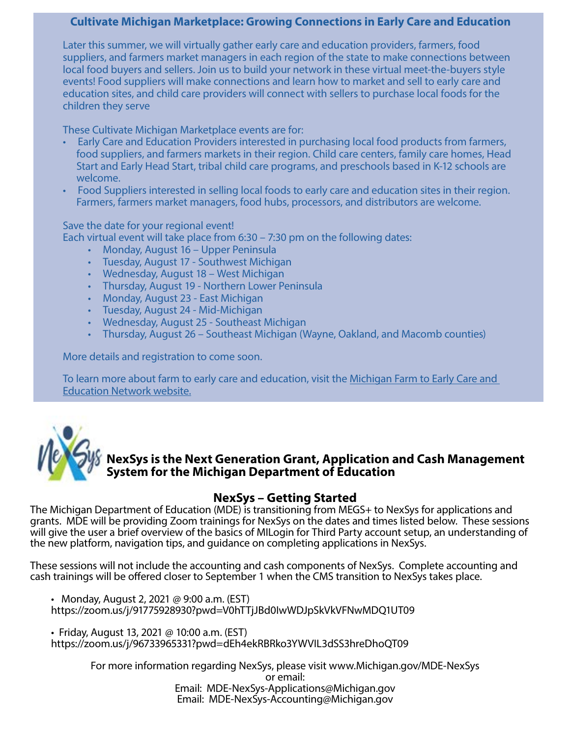#### **[Cultivate Michigan Marketplace: Growing Connections in Early Care and Education](https://fns-prod.azureedge.net/sites/default/files/resource-files/FiestaMexicanLasagnaCACFPCenterRecipe.pdf)**

Later this summer, we will virtually gather early care and education providers, farmers, food suppliers, and farmers market managers in each region of the state to make connections between local food buyers and sellers. Join us to build your network in these virtual meet-the-buyers style events! Food suppliers will make connections and learn how to market and sell to early care and education sites, and child care providers will connect with sellers to purchase local foods for the children they serve

These Cultivate Michigan Marketplace events are for:

- Early Care and Education Providers interested in purchasing local food products from farmers, food suppliers, and farmers markets in their region. Child care centers, family care homes, Head Start and Early Head Start, tribal child care programs, and preschools based in K-12 schools are welcome.
- Food Suppliers interested in selling local foods to early care and education sites in their region. Farmers, farmers market managers, food hubs, processors, and distributors are welcome.

Save the date for your regional event!

Each virtual event will take place from 6:30 – 7:30 pm on the following dates:

- Monday, August 16 Upper Peninsula
- Tuesday, August 17 Southwest Michigan
- Wednesday, August 18 West Michigan
- Thursday, August 19 Northern Lower Peninsula
- Monday, August 23 East Michigan
- Tuesday, August 24 Mid-Michigan
- Wednesday, August 25 Southeast Michigan
- Thursday, August 26 Southeast Michigan (Wayne, Oakland, and Macomb counties)

More details and registration to come soon.

To learn more about farm to early care and education, visit the [Michigan Farm to Early Care and](https://gcc02.safelinks.protection.outlook.com/?url=https%3A%2F%2Furldefense.com%2Fv3%2F__https%3A%2Fr20.rs6.net%2Ftn.jsp%3Ff%3D001PwArl2LoeZtXYO5GTHyEi4svcMw_VSLos-h3nq_IMF4leiFrwJIzouTpVO7aLqm4OSJ6lYgtzQvD7XPnQ24r3HIpdUHkSNwJynAbYf2nlT3TDNSyz0TZRLmLfj5RqqdqdpFOCxf5DXlqzKxyWHJ11GXfC6VbCXT0iP6HVfJnZqs9NPQwkEJYZP786eF3t4o8%26c%3D9oMsqeyGjQmMMAc5nNv7t_5dCNNkHQPn3kZtdcLbTBOSe-a5onWCxg%3D%3D%26ch%3DpmAc7vakIsxPfMZDHx45MgfsvBAwX_A5GCE60s0j_e6Negm9tfnFDA%3D%3D__%3B!!HXCxUKc!l1k_poH6jJxkHUlAuhAZfesiQ90l52bSm-yRFxzhd16rT_uRUeKMD-NVXtzdyc8%24&data=04%7C01%7CGalbaviT%40michigan.gov%7C83ded7ffef4e42c1877308d935919302%7Cd5fb7087377742ad966a892ef47225d1%7C0%7C0%7C637599721611318017%7CUnknown%7CTWFpbGZsb3d8eyJWIjoiMC4wLjAwMDAiLCJQIjoiV2luMzIiLCJBTiI6Ik1haWwiLCJXVCI6Mn0%3D%7C1000&sdata=bhHg9kaAd4YptRa0MNevpluD40yJEvw0NT%2FlMjiadGE%3D&reserved=0)  [Education Network website.](https://gcc02.safelinks.protection.outlook.com/?url=https%3A%2F%2Furldefense.com%2Fv3%2F__https%3A%2Fr20.rs6.net%2Ftn.jsp%3Ff%3D001PwArl2LoeZtXYO5GTHyEi4svcMw_VSLos-h3nq_IMF4leiFrwJIzouTpVO7aLqm4OSJ6lYgtzQvD7XPnQ24r3HIpdUHkSNwJynAbYf2nlT3TDNSyz0TZRLmLfj5RqqdqdpFOCxf5DXlqzKxyWHJ11GXfC6VbCXT0iP6HVfJnZqs9NPQwkEJYZP786eF3t4o8%26c%3D9oMsqeyGjQmMMAc5nNv7t_5dCNNkHQPn3kZtdcLbTBOSe-a5onWCxg%3D%3D%26ch%3DpmAc7vakIsxPfMZDHx45MgfsvBAwX_A5GCE60s0j_e6Negm9tfnFDA%3D%3D__%3B!!HXCxUKc!l1k_poH6jJxkHUlAuhAZfesiQ90l52bSm-yRFxzhd16rT_uRUeKMD-NVXtzdyc8%24&data=04%7C01%7CGalbaviT%40michigan.gov%7C83ded7ffef4e42c1877308d935919302%7Cd5fb7087377742ad966a892ef47225d1%7C0%7C0%7C637599721611318017%7CUnknown%7CTWFpbGZsb3d8eyJWIjoiMC4wLjAwMDAiLCJQIjoiV2luMzIiLCJBTiI6Ik1haWwiLCJXVCI6Mn0%3D%7C1000&sdata=bhHg9kaAd4YptRa0MNevpluD40yJEvw0NT%2FlMjiadGE%3D&reserved=0)



#### **NexSys is the Next Generation Grant, Application and Cash Management System for the Michigan Department of Education**

#### **NexSys – Getting Started**

The Michigan Department of Education (MDE) is transitioning from MEGS+ to NexSys for applications and grants. MDE will be providing Zoom trainings for NexSys on the dates and times listed below. These sessions will give the user a brief overview of the basics of MILogin for Third Party account setup, an understanding of the new platform, navigation tips, and guidance on completing applications in NexSys.

These sessions will not include the accounting and cash components of NexSys. Complete accounting and cash trainings will be offered closer to September 1 when the CMS transition to NexSys takes place.

• Monday, August 2, 2021 @ 9:00 a.m. (EST) https://zoom.us/j/91775928930?pwd=V0hTTjJBd0IwWDJpSkVkVFNwMDQ1UT09

• Friday, August 13, 2021 @ 10:00 a.m. (EST) https://zoom.us/j/96733965331?pwd=dEh4ekRBRko3YWVIL3dSS3hreDhoQT09

> For more information regarding NexSys, please visit www.Michigan.gov/MDE-NexSys or email: Email: MDE-NexSys-Applications@Michigan.gov Email: MDE-NexSys-Accounting@Michigan.gov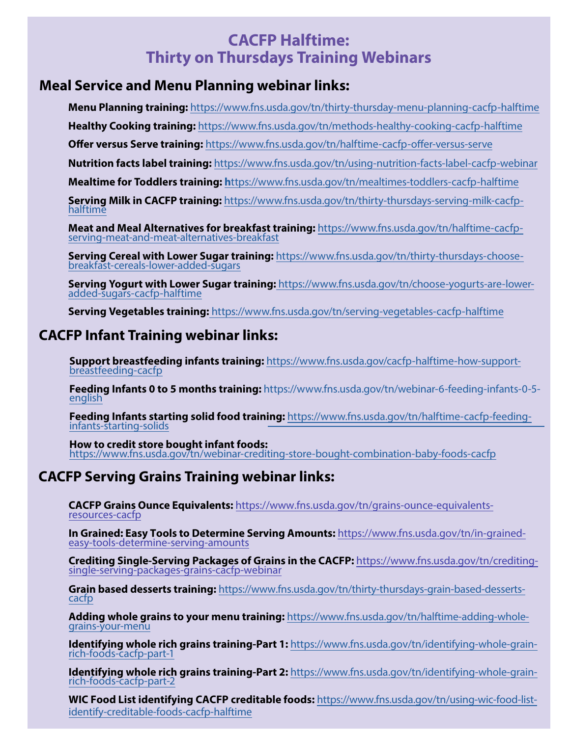## **CACFP Halftime: Thirty on Thursdays Training Webinars**

#### **Meal Service and Menu Planning webinar links:**

**Menu Planning training:** <https://www.fns.usda.gov/tn/thirty-thursday-menu-planning-cacfp-halftime>

**Healthy Cooking training:** https://www.fns.usda.gov/tn/methods-healthy-cooking-cacfp-halftime

**Offer versus Serve training:** <https://www.fns.usda.gov/tn/halftime-cacfp-offer-versus-serve>

**Nutrition facts label training:** <https://www.fns.usda.gov/tn/using-nutrition-facts-label-cacfp-webinar>

**Mealtime for Toddlers training: h**ttps://www.fns.usda.gov/tn/mealtimes-toddlers-cacfp-halftime

**Serving Milk in CACFP training:** [https://www.fns.usda.gov/tn/thirty-thursdays-serving-milk-cacfp](https://www.fns.usda.gov/tn/thirty-thursdays-serving-milk-cacfp-halftime)[halftime](https://www.fns.usda.gov/tn/thirty-thursdays-serving-milk-cacfp-halftime)

**Meat and Meal Alternatives for breakfast training:** [https://www.fns.usda.gov/tn/halftime-cacfp](https://www.fns.usda.gov/tn/halftime-cacfp-serving-meat-and-meat-alternatives-breakfast)[serving-meat-and-meat-alternatives-breakfast](https://www.fns.usda.gov/tn/halftime-cacfp-serving-meat-and-meat-alternatives-breakfast)

**Serving Cereal with Lower Sugar training:** [https://www.fns.usda.gov/tn/thirty-thursdays-choose](https://www.fns.usda.gov/tn/thirty-thursdays-choose-breakfast-cereals-lower-added-sugars)[breakfast-cereals-lower-added-sugars](https://www.fns.usda.gov/tn/thirty-thursdays-choose-breakfast-cereals-lower-added-sugars)

**Serving Yogurt with Lower Sugar training:** [https://www.fns.usda.gov/tn/choose-yogurts-are-lower](https://www.fns.usda.gov/tn/choose-yogurts-are-lower-added-sugars-cacfp-halftime)[added-sugars-cacfp-halftime](https://www.fns.usda.gov/tn/choose-yogurts-are-lower-added-sugars-cacfp-halftime)

**Serving Vegetables training:** https://www.fns.usda.gov/tn/serving-vegetables-cacfp-halftime

### **CACFP Infant Training we[binar links:](https://www.fns.usda.gov/tn/serving-vegetables-cacfp-halftime)**

**Support breastfeeding infants training:** [https://www.fns.usda.gov/cacfp-halftime-how-support](https://www.fns.usda.gov/cacfp-halftime-how-support-breastfeeding-cacfp)breastfeeding-cacfp

**Feeding Infants 0 to 5 months training:** [https://www.fns.usda.gov/tn/webinar-6-feeding-infants-0-5](https://www.fns.usda.gov/tn/webinar-6-feeding-infants-0-5-english) [english](https://www.fns.usda.gov/tn/webinar-6-feeding-infants-0-5-english)

**Feeding Infants starting solid food training:** [https://www.fns.usda.gov/tn/halftime-cacfp-feeding](https://www.fns.usda.gov/tn/halftime-cacfp-feeding-infants-starting-solids)infants-starting-solids

**How to credit store bought infant foods:**  <https://www.fns.usda.gov/tn/webinar-crediting-store-bought-combination-baby-foods-cacfp>

## **CACFP Serving Grains Training webinar links:**

**CACFP Grains Ounce Equivalents:** [https://www.fns.usda.gov/tn/grains-ounce-equivalents](https://www.fns.usda.gov/tn/grains-ounce-equivalents-resources-cacfp)resources-cacfp

**[In Grained: Easy Tools to Determine Serving Amounts:](https://www.fns.usda.gov/tn/in-grained-easy-tools-determine-serving-amounts)** https://www.fns.usda.gov/tn/in-grainedeasy-tools-determine-serving-amounts

**[Crediting Single-Serving Packages of Grains in the CACFP:](https://www.fns.usda.gov/tn/crediting-single-serving-packages-grains-cacfp-webinar)** https://www.fns.usda.gov/tn/creditingsingle-serving-packages-grains-cacfp-webinar

**Grain [based desse](https://www.fns.usda.gov/tn/halftime-adding-whole-grains-your-menu)rts training:** [https://www.fns.usda.gov/tn/thirty-thursdays-grain-based-desserts](https://www.fns.usda.gov/tn/thirty-thursdays-grain-based-desserts-cacfp)[cacfp](https://www.fns.usda.gov/tn/thirty-thursdays-grain-based-desserts-cacfp)

**Adding whole grains to your menu training:** [https://www.fns.usda.gov/tn/halftime-adding-whole](https://www.fns.usda.gov/tn/halftime-adding-whole-grains-your-menu)[grains-your-menu](https://www.fns.usda.gov/tn/identifying-whole-grain-rich-foods-cacfp-part-1) 

**Identifying whole rich grains training-Part 1:** [https://www.fns.usda.gov/tn/identifying-whole-grain](https://www.fns.usda.gov/tn/identifying-whole-grain-rich-foods-cacfp-part-1)[rich-foods-cacfp-part-1](https://www.fns.usda.gov/tn/identifying-whole-grain-rich-foods-cacfp-part-2)

**Identifying whole rich grains training-Part 2:** [https://www.fns.usda.gov/tn/identifying-whole-grain](https://www.fns.usda.gov/tn/identifying-whole-grain-rich-foods-cacfp-part-2)[rich-foods-cacfp-part-2](https://www.fns.usda.gov/tn/using-wic-food-list-identify-creditable-foods-cacfp-halftime) 

**WIC Food List identifying CACFP creditable foods:** [https://www.fns.usda.gov/tn/using-wic-food-list](https://www.fns.usda.gov/tn/using-wic-food-list-identify-creditable-foods-cacfp-halftime)identify-creditable-foods-cacfp-halftime